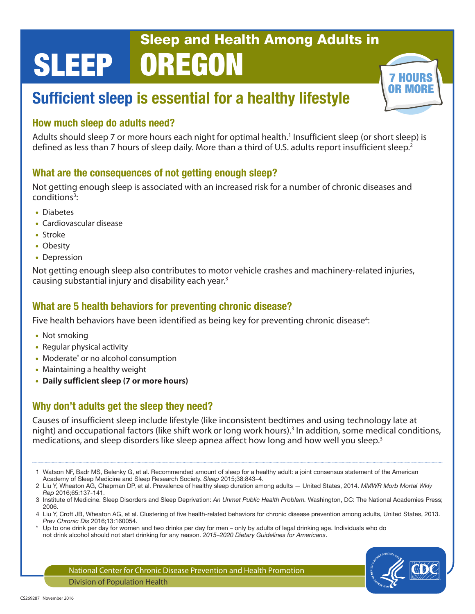# SLEEP Sleep and Health Among Adults in OREGON

# Sufficient sleep is essential for a healthy lifestyle

#### How much sleep do adults need?

Adults should sleep 7 or more hours each night for optimal health.<sup>1</sup> Insufficient sleep (or short sleep) is defined as less than 7 hours of sleep daily. More than a third of U.S. adults report insufficient sleep.<sup>2</sup>

#### What are the consequences of not getting enough sleep?

Not getting enough sleep is associated with an increased risk for a number of chronic diseases and conditions<sup>3</sup>:

- Diabetes
- Cardiovascular disease
- Stroke
- Obesity
- Depression

Not getting enough sleep also contributes to motor vehicle crashes and machinery-related injuries, causing substantial injury and disability each year.3

#### What are 5 health behaviors for preventing chronic disease?

Five health behaviors have been identified as being key for preventing chronic disease<sup>4</sup>:

- Not smoking
- Regular physical activity
- Moderate\* or no alcohol consumption
- Maintaining a healthy weight
- **Daily sufficient sleep (7 or more hours)**

#### Why don't adults get the sleep they need?

Causes of insufficient sleep include lifestyle (like inconsistent bedtimes and using technology late at night) and occupational factors (like shift work or long work hours).<sup>3</sup> In addition, some medical conditions, medications, and sleep disorders like sleep apnea affect how long and how well you sleep.<sup>3</sup>

- 1 Watson NF, Badr MS, Belenky G, et al. Recommended amount of sleep for a healthy adult: a joint consensus statement of the American Academy of Sleep Medicine and Sleep Research Society. *Sleep* 2015;38:843–4.
- 2 Liu Y, Wheaton AG, Chapman DP, et al. Prevalence of healthy sleep duration among adults United States, 2014. *MMWR Morb Mortal Wkly Rep* 2016;65:137-141.
- 3 Institute of Medicine. Sleep Disorders and Sleep Deprivation: *An Unmet Public Health Problem.* Washington, DC: The National Academies Press; 2006.
- 4 Liu Y, Croft JB, Wheaton AG, et al. Clustering of five health-related behaviors for chronic disease prevention among adults, United States, 2013. *Prev Chronic Dis* 2016;13:160054.
- Up to one drink per day for women and two drinks per day for men only by adults of legal drinking age. Individuals who do not drink alcohol should not start drinking for any reason. *2015–2020 Dietary Guidelines for Americans*.



7 HOURS **OR MORE** 

National Center for Chronic Disease Prevention and Health Promotion Division of Population Health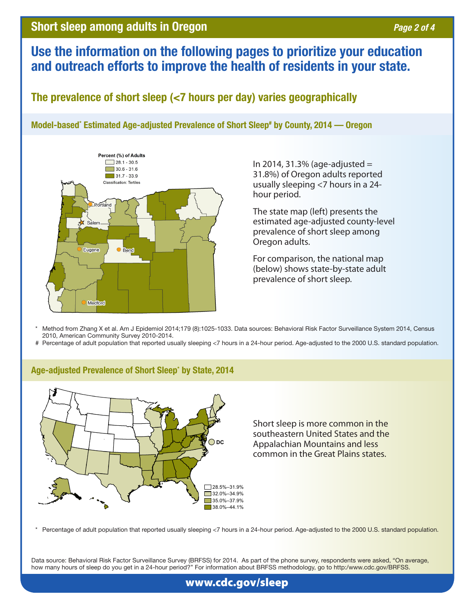## Short sleep among adults in Oregon *Page 2 of 4* and *Page 2 of 4*

# Use the information on the following pages to prioritize your education and outreach efforts to improve the health of residents in your state.

The prevalence of short sleep (<7 hours per day) varies geographically

Model-based\* Estimated Age-adjusted Prevalence of Short Sleep# by County, 2014 — Oregon



In 2014, 31.3% (age-adjusted  $=$ 31.8%) of Oregon adults reported usually sleeping <7 hours in a 24 hour period.

The state map (left) presents the estimated age-adjusted county-level prevalence of short sleep among Oregon adults.

For comparison, the national map (below) shows state-by-state adult prevalence of short sleep.

Method from Zhang X et al. Am J Epidemiol 2014;179 (8):1025-1033. Data sources: Behavioral Risk Factor Surveillance System 2014, Census 2010, American Community Survey 2010-2014.

# Percentage of adult population that reported usually sleeping <7 hours in a 24-hour period. Age-adjusted to the 2000 U.S. standard population.



#### Age-adjusted Prevalence of Short Sleep\* by State, 2014

Short sleep is more common in the southeastern United States and the Appalachian Mountains and less common in the Great Plains states.

Percentage of adult population that reported usually sleeping <7 hours in a 24-hour period. Age-adjusted to the 2000 U.S. standard population.

Data source: Behavioral Risk Factor Surveillance Survey (BRFSS) for 2014. As part of the phone survey, respondents were asked, "On average, how many hours of sleep do you get in a 24-hour period?" For information about BRFSS methodology, go to http:[/www.cdc.gov/BRFSS.](www.cdc.gov/BRFSS)

#### [www.cdc.gov/sleep](http://www.cdc.gov/sleep/index.html)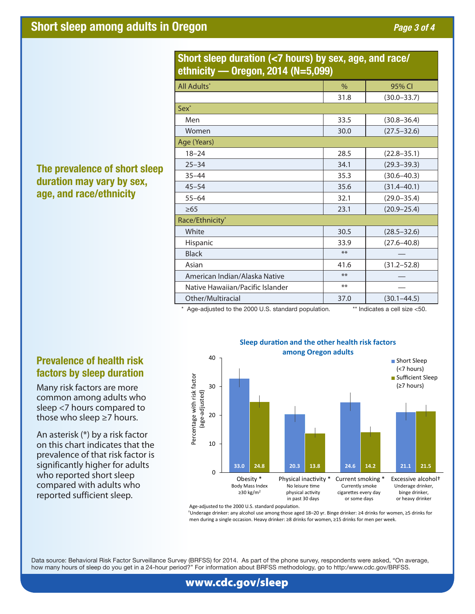| ethnicity — Oregon, 2014 (N=5,099) |               |                 |
|------------------------------------|---------------|-----------------|
| <b>All Adults</b> *                | $\frac{0}{0}$ | 95% CI          |
|                                    | 31.8          | $(30.0 - 33.7)$ |
| Sex <sup>*</sup>                   |               |                 |
| Men                                | 33.5          | $(30.8 - 36.4)$ |
| Women                              | 30.0          | $(27.5 - 32.6)$ |
| Age (Years)                        |               |                 |
| $18 - 24$                          | 28.5          | $(22.8 - 35.1)$ |
| $25 - 34$                          | 34.1          | $(29.3 - 39.3)$ |
| $35 - 44$                          | 35.3          | $(30.6 - 40.3)$ |
| $45 - 54$                          | 35.6          | $(31.4 - 40.1)$ |
| $55 - 64$                          | 32.1          | $(29.0 - 35.4)$ |
| $\geq 65$                          | 23.1          | $(20.9 - 25.4)$ |
| Race/Ethnicity*                    |               |                 |
| White                              | 30.5          | $(28.5 - 32.6)$ |
| Hispanic                           | 33.9          | $(27.6 - 40.8)$ |
| <b>Black</b>                       | $**$          |                 |
| Asian                              | 41.6          | $(31.2 - 52.8)$ |
| American Indian/Alaska Native      | $**$          |                 |
| Native Hawaiian/Pacific Islander   | $***$         |                 |
| Other/Multiracial                  | 37.0          | $(30.1 - 44.5)$ |
|                                    |               |                 |

#### Short sleep duration (<7 hours) by sex, age, and race/ ethnicity — Oregon, 2014 (N=5,099)

\* Age-adjusted to the 2000 U.S. standard population. \*\* Indicates a cell size <50.



Age-adjusted to the 2000 U.S. standard population.

†Underage drinker: any alcohol use among those aged 18–20 yr. Binge drinker: ≥4 drinks for women, ≥5 drinks for men during a single occasion. Heavy drinker: ≥8 drinks for women, ≥15 drinks for men per week.

Data source: Behavioral Risk Factor Surveillance Survey (BRFSS) for 2014. As part of the phone survey, respondents were asked, "On average, how many hours of sleep do you get in a 24-hour period?" For information about BRFSS methodology, go to http:[/www.cdc.gov/BRFSS.](www.cdc.gov/BRFSS)

### The prevalence of short sleep duration may vary by sex, age, and race/ethnicity

#### Prevalence of health risk factors by sleep duration

Many risk factors are more common among adults who sleep <7 hours compared to those who sleep ≥7 hours.

An asterisk (\*) by a risk factor on this chart indicates that the prevalence of that risk factor is significantly higher for adults who reported short sleep compared with adults who reported sufficient sleep.

### [www.cdc.gov/sleep](http://www.cdc.gov/sleep/index.html)